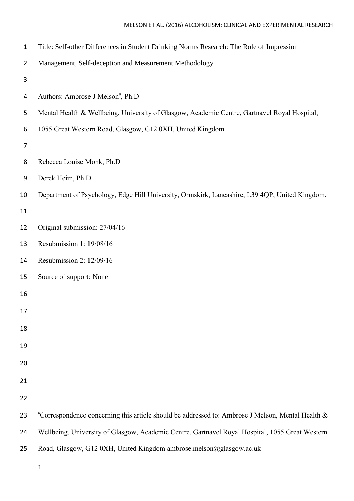## MELSON ET AL. (2016) ALCOHOLISM: CLINICAL AND EXPERIMENTAL RESEARCH

| $\mathbf{1}$   | Title: Self-other Differences in Student Drinking Norms Research: The Role of Impression                      |
|----------------|---------------------------------------------------------------------------------------------------------------|
| $\overline{2}$ | Management, Self-deception and Measurement Methodology                                                        |
| 3              |                                                                                                               |
| 4              | Authors: Ambrose J Melson <sup>a</sup> , Ph.D                                                                 |
| 5              | Mental Health & Wellbeing, University of Glasgow, Academic Centre, Gartnavel Royal Hospital,                  |
| 6              | 1055 Great Western Road, Glasgow, G12 0XH, United Kingdom                                                     |
| 7              |                                                                                                               |
| 8              | Rebecca Louise Monk, Ph.D                                                                                     |
| 9              | Derek Heim, Ph.D                                                                                              |
| 10             | Department of Psychology, Edge Hill University, Ormskirk, Lancashire, L39 4QP, United Kingdom.                |
| 11             |                                                                                                               |
| 12             | Original submission: 27/04/16                                                                                 |
| 13             | Resubmission 1: 19/08/16                                                                                      |
| 14             | Resubmission 2: 12/09/16                                                                                      |
| 15             | Source of support: None                                                                                       |
| 16             |                                                                                                               |
| 17             |                                                                                                               |
| 18             |                                                                                                               |
| 19             |                                                                                                               |
| 20             |                                                                                                               |
| 21             |                                                                                                               |
| 22             |                                                                                                               |
| 23             | <sup>a</sup> Correspondence concerning this article should be addressed to: Ambrose J Melson, Mental Health & |
| 24             | Wellbeing, University of Glasgow, Academic Centre, Gartnavel Royal Hospital, 1055 Great Western               |
|                |                                                                                                               |

- Road, Glasgow, G12 0XH, United Kingdom ambrose.melson@glasgow.ac.uk
	-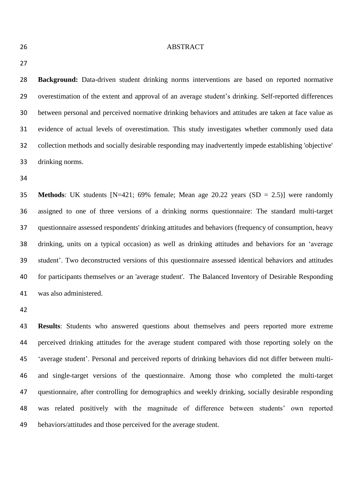#### ABSTRACT

 **Background:** Data-driven student drinking norms interventions are based on reported normative overestimation of the extent and approval of an average student's drinking. Self-reported differences between personal and perceived normative drinking behaviors and attitudes are taken at face value as evidence of actual levels of overestimation. This study investigates whether commonly used data collection methods and socially desirable responding may inadvertently impede establishing 'objective' drinking norms.

 **Methods**: UK students [N=421; 69% female; Mean age 20.22 years (SD = 2.5)] were randomly assigned to one of three versions of a drinking norms questionnaire: The standard multi-target questionnaire assessed respondents' drinking attitudes and behaviors (frequency of consumption, heavy drinking, units on a typical occasion) as well as drinking attitudes and behaviors for an 'average student'. Two deconstructed versions of this questionnaire assessed identical behaviors and attitudes for participants themselves *or* an 'average student'. The Balanced Inventory of Desirable Responding was also administered.

 **Results**: Students who answered questions about themselves and peers reported more extreme perceived drinking attitudes for the average student compared with those reporting solely on the 'average student'. Personal and perceived reports of drinking behaviors did not differ between multi- and single-target versions of the questionnaire. Among those who completed the multi-target questionnaire, after controlling for demographics and weekly drinking, socially desirable responding was related positively with the magnitude of difference between students' own reported behaviors/attitudes and those perceived for the average student.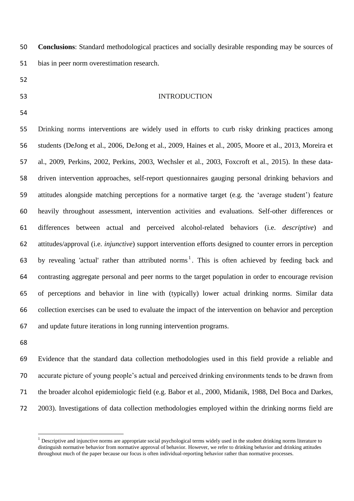**Conclusions**: Standard methodological practices and socially desirable responding may be sources of bias in peer norm overestimation research.

- 
- 

## INTRODUCTION

 Drinking norms interventions are widely used in efforts to curb risky drinking practices among students (DeJong et al., 2006, DeJong et al., 2009, Haines et al., 2005, Moore et al., 2013, Moreira et al., 2009, Perkins, 2002, Perkins, 2003, Wechsler et al., 2003, Foxcroft et al., 2015). In these data- driven intervention approaches, self-report questionnaires gauging personal drinking behaviors and attitudes alongside matching perceptions for a normative target (e.g. the 'average student') feature heavily throughout assessment, intervention activities and evaluations. Self-other differences or differences between actual and perceived alcohol-related behaviors (i.e. *descriptive*) and attitudes/approval (i.e. *injunctive*) support intervention efforts designed to counter errors in perception 63 by revealing 'actual' rather than attributed norms<sup>1</sup>. This is often achieved by feeding back and contrasting aggregate personal and peer norms to the target population in order to encourage revision of perceptions and behavior in line with (typically) lower actual drinking norms. Similar data collection exercises can be used to evaluate the impact of the intervention on behavior and perception and update future iterations in long running intervention programs.

 $\overline{a}$ 

 Evidence that the standard data collection methodologies used in this field provide a reliable and accurate picture of young people's actual and perceived drinking environments tends to be drawn from the broader alcohol epidemiologic field (e.g. Babor et al., 2000, Midanik, 1988, Del Boca and Darkes, 2003). Investigations of data collection methodologies employed within the drinking norms field are

 $<sup>1</sup>$  Descriptive and injunctive norms are appropriate social psychological terms widely used in the student drinking norms literature to</sup> distinguish normative behavior from normative approval of behavior. However, we refer to drinking behavior and drinking attitudes throughout much of the paper because our focus is often individual-reporting behavior rather than normative processes.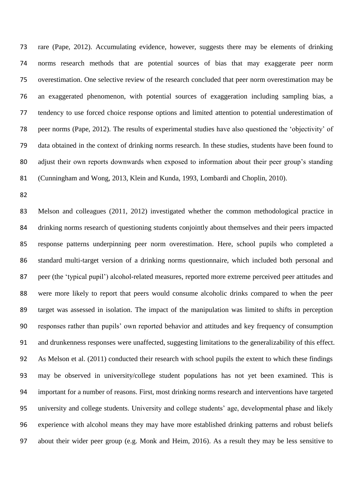rare (Pape, 2012). Accumulating evidence, however, suggests there may be elements of drinking norms research methods that are potential sources of bias that may exaggerate peer norm overestimation. One selective review of the research concluded that peer norm overestimation may be an exaggerated phenomenon, with potential sources of exaggeration including sampling bias, a tendency to use forced choice response options and limited attention to potential underestimation of peer norms (Pape, 2012). The results of experimental studies have also questioned the 'objectivity' of data obtained in the context of drinking norms research. In these studies, students have been found to adjust their own reports downwards when exposed to information about their peer group's standing (Cunningham and Wong, 2013, Klein and Kunda, 1993, Lombardi and Choplin, 2010).

 Melson and colleagues (2011, 2012) investigated whether the common methodological practice in drinking norms research of questioning students conjointly about themselves and their peers impacted response patterns underpinning peer norm overestimation. Here, school pupils who completed a standard multi-target version of a drinking norms questionnaire, which included both personal and peer (the 'typical pupil') alcohol-related measures, reported more extreme perceived peer attitudes and were more likely to report that peers would consume alcoholic drinks compared to when the peer target was assessed in isolation. The impact of the manipulation was limited to shifts in perception responses rather than pupils' own reported behavior and attitudes and key frequency of consumption and drunkenness responses were unaffected, suggesting limitations to the generalizability of this effect. As Melson et al. (2011) conducted their research with school pupils the extent to which these findings may be observed in university/college student populations has not yet been examined. This is important for a number of reasons. First, most drinking norms research and interventions have targeted university and college students. University and college students' age, developmental phase and likely experience with alcohol means they may have more established drinking patterns and robust beliefs about their wider peer group (e.g. Monk and Heim, 2016). As a result they may be less sensitive to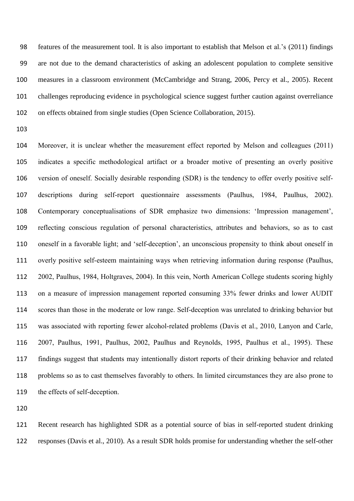features of the measurement tool. It is also important to establish that Melson et al.'s (2011) findings are not due to the demand characteristics of asking an adolescent population to complete sensitive measures in a classroom environment (McCambridge and Strang, 2006, Percy et al., 2005). Recent challenges reproducing evidence in psychological science suggest further caution against overreliance on effects obtained from single studies (Open Science Collaboration, 2015).

 Moreover, it is unclear whether the measurement effect reported by Melson and colleagues (2011) indicates a specific methodological artifact or a broader motive of presenting an overly positive version of oneself. Socially desirable responding (SDR) is the tendency to offer overly positive self- descriptions during self-report questionnaire assessments (Paulhus, 1984, Paulhus, 2002). Contemporary conceptualisations of SDR emphasize two dimensions: 'Impression management', reflecting conscious regulation of personal characteristics, attributes and behaviors, so as to cast oneself in a favorable light; and 'self-deception', an unconscious propensity to think about oneself in overly positive self-esteem maintaining ways when retrieving information during response (Paulhus, 2002, Paulhus, 1984, Holtgraves, 2004). In this vein, North American College students scoring highly on a measure of impression management reported consuming 33% fewer drinks and lower AUDIT scores than those in the moderate or low range. Self-deception was unrelated to drinking behavior but was associated with reporting fewer alcohol-related problems (Davis et al., 2010, Lanyon and Carle, 2007, Paulhus, 1991, Paulhus, 2002, Paulhus and Reynolds, 1995, Paulhus et al., 1995). These findings suggest that students may intentionally distort reports of their drinking behavior and related problems so as to cast themselves favorably to others. In limited circumstances they are also prone to the effects of self-deception.

 Recent research has highlighted SDR as a potential source of bias in self-reported student drinking responses (Davis et al., 2010). As a result SDR holds promise for understanding whether the self-other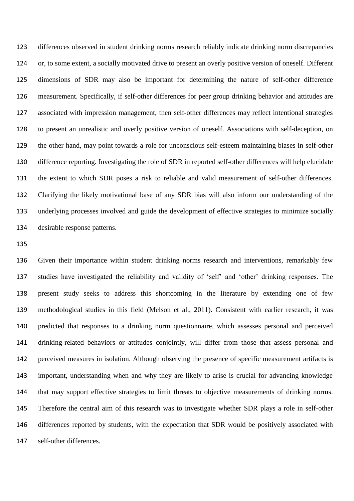differences observed in student drinking norms research reliably indicate drinking norm discrepancies or, to some extent, a socially motivated drive to present an overly positive version of oneself. Different dimensions of SDR may also be important for determining the nature of self-other difference measurement. Specifically, if self-other differences for peer group drinking behavior and attitudes are associated with impression management, then self-other differences may reflect intentional strategies to present an unrealistic and overly positive version of oneself. Associations with self-deception, on the other hand, may point towards a role for unconscious self-esteem maintaining biases in self-other difference reporting. Investigating the role of SDR in reported self-other differences will help elucidate the extent to which SDR poses a risk to reliable and valid measurement of self-other differences. Clarifying the likely motivational base of any SDR bias will also inform our understanding of the underlying processes involved and guide the development of effective strategies to minimize socially desirable response patterns.

 Given their importance within student drinking norms research and interventions, remarkably few studies have investigated the reliability and validity of 'self' and 'other' drinking responses. The present study seeks to address this shortcoming in the literature by extending one of few methodological studies in this field (Melson et al., 2011). Consistent with earlier research, it was predicted that responses to a drinking norm questionnaire, which assesses personal and perceived drinking-related behaviors or attitudes conjointly, will differ from those that assess personal and perceived measures in isolation. Although observing the presence of specific measurement artifacts is important, understanding when and why they are likely to arise is crucial for advancing knowledge that may support effective strategies to limit threats to objective measurements of drinking norms. Therefore the central aim of this research was to investigate whether SDR plays a role in self-other differences reported by students, with the expectation that SDR would be positively associated with self-other differences.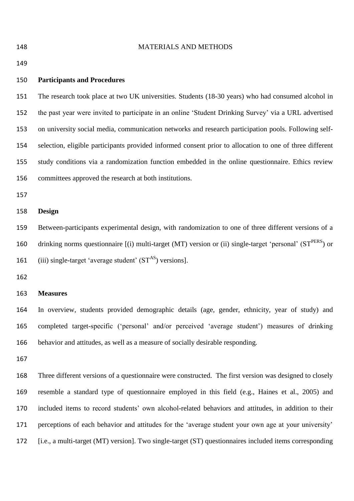MATERIALS AND METHODS **Participants and Procedures** The research took place at two UK universities. Students (18-30 years) who had consumed alcohol in the past year were invited to participate in an online 'Student Drinking Survey' via a URL advertised on university social media, communication networks and research participation pools. Following self- selection, eligible participants provided informed consent prior to allocation to one of three different study conditions via a randomization function embedded in the online questionnaire. Ethics review committees approved the research at both institutions. **Design** Between-participants experimental design, with randomization to one of three different versions of a 160 drinking norms questionnaire  $[(i)$  multi-target (MT) version or (ii) single-target 'personal' (ST<sup>PERS</sup>) or 161 (iii) single-target 'average student'  $(ST^{AS})$  versions]. **Measures** In overview, students provided demographic details (age, gender, ethnicity, year of study) and completed target-specific ('personal' and/or perceived 'average student') measures of drinking behavior and attitudes, as well as a measure of socially desirable responding. 

 Three different versions of a questionnaire were constructed. The first version was designed to closely resemble a standard type of questionnaire employed in this field (e.g., Haines et al., 2005) and included items to record students' own alcohol-related behaviors and attitudes, in addition to their perceptions of each behavior and attitudes for the 'average student your own age at your university' [i.e., a multi-target (MT) version]. Two single-target (ST) questionnaires included items corresponding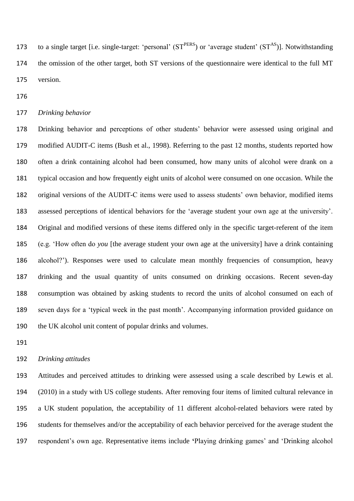173 to a single target [i.e. single-target: 'personal'  $(ST^{PERS})$  or 'average student'  $(ST^{AS})$ ]. Notwithstanding the omission of the other target, both ST versions of the questionnaire were identical to the full MT version.

*Drinking behavior*

 Drinking behavior and perceptions of other students' behavior were assessed using original and modified AUDIT-C items (Bush et al., 1998). Referring to the past 12 months, students reported how often a drink containing alcohol had been consumed, how many units of alcohol were drank on a typical occasion and how frequently eight units of alcohol were consumed on one occasion. While the original versions of the AUDIT-C items were used to assess students' own behavior, modified items assessed perceptions of identical behaviors for the 'average student your own age at the university'. Original and modified versions of these items differed only in the specific target-referent of the item (e.g. 'How often do *you* [the average student your own age at the university] have a drink containing alcohol?'). Responses were used to calculate mean monthly frequencies of consumption, heavy drinking and the usual quantity of units consumed on drinking occasions. Recent seven-day consumption was obtained by asking students to record the units of alcohol consumed on each of seven days for a 'typical week in the past month'. Accompanying information provided guidance on the UK alcohol unit content of popular drinks and volumes.

## *Drinking attitudes*

 Attitudes and perceived attitudes to drinking were assessed using a scale described by Lewis et al. (2010) in a study with US college students. After removing four items of limited cultural relevance in a UK student population, the acceptability of 11 different alcohol-related behaviors were rated by students for themselves and/or the acceptability of each behavior perceived for the average student the respondent's own age. Representative items include **'**Playing drinking games' and 'Drinking alcohol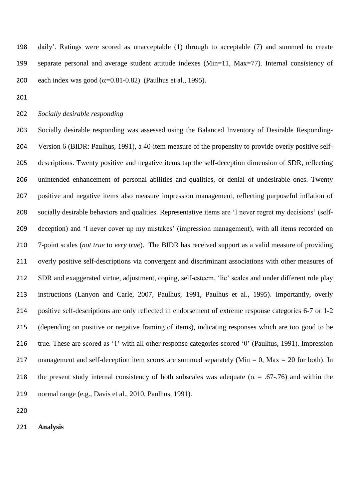daily'. Ratings were scored as unacceptable (1) through to acceptable (7) and summed to create separate personal and average student attitude indexes (Min=11, Max=77). Internal consistency of 200 each index was good  $(\alpha=0.81-0.82)$  (Paulhus et al., 1995).

*Socially desirable responding*

 Socially desirable responding was assessed using the Balanced Inventory of Desirable Responding- Version 6 (BIDR: Paulhus, 1991), a 40-item measure of the propensity to provide overly positive self- descriptions. Twenty positive and negative items tap the self-deception dimension of SDR, reflecting unintended enhancement of personal abilities and qualities, or denial of undesirable ones. Twenty positive and negative items also measure impression management, reflecting purposeful inflation of socially desirable behaviors and qualities. Representative items are 'I never regret my decisions' (self- deception) and 'I never cover up my mistakes' (impression management), with all items recorded on 7-point scales (*not true* to *very true*). The BIDR has received support as a valid measure of providing overly positive self-descriptions via convergent and discriminant associations with other measures of SDR and exaggerated virtue, adjustment, coping, self-esteem, 'lie' scales and under different role play instructions (Lanyon and Carle, 2007, Paulhus, 1991, Paulhus et al., 1995). Importantly, overly positive self-descriptions are only reflected in endorsement of extreme response categories 6-7 or 1-2 (depending on positive or negative framing of items), indicating responses which are too good to be true. These are scored as '1' with all other response categories scored '0' (Paulhus, 1991). Impression 217 management and self-deception item scores are summed separately ( $Min = 0$ ,  $Max = 20$  for both). In 218 the present study internal consistency of both subscales was adequate ( $\alpha = .67-.76$ ) and within the normal range (e.g., Davis et al., 2010, Paulhus, 1991).

**Analysis**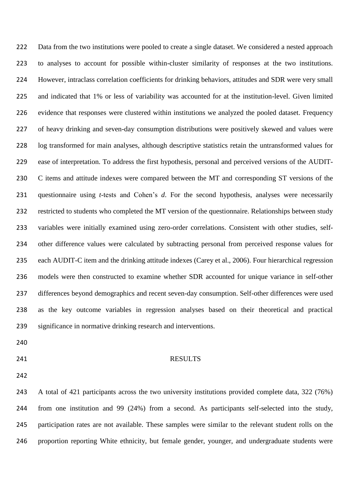222 Data from the two institutions were pooled to create a single dataset. We considered a nested approach to analyses to account for possible within-cluster similarity of responses at the two institutions. However, intraclass correlation coefficients for drinking behaviors, attitudes and SDR were very small and indicated that 1% or less of variability was accounted for at the institution-level. Given limited evidence that responses were clustered within institutions we analyzed the pooled dataset. Frequency of heavy drinking and seven-day consumption distributions were positively skewed and values were log transformed for main analyses, although descriptive statistics retain the untransformed values for ease of interpretation. To address the first hypothesis, personal and perceived versions of the AUDIT- C items and attitude indexes were compared between the MT and corresponding ST versions of the questionnaire using *t*-tests and Cohen's *d*. For the second hypothesis, analyses were necessarily restricted to students who completed the MT version of the questionnaire. Relationships between study variables were initially examined using zero-order correlations. Consistent with other studies, self- other difference values were calculated by subtracting personal from perceived response values for each AUDIT-C item and the drinking attitude indexes (Carey et al., 2006). Four hierarchical regression models were then constructed to examine whether SDR accounted for unique variance in self-other differences beyond demographics and recent seven-day consumption. Self-other differences were used as the key outcome variables in regression analyses based on their theoretical and practical significance in normative drinking research and interventions.

- 
- 

#### 241 RESULTS

 A total of 421 participants across the two university institutions provided complete data, 322 (76%) from one institution and 99 (24%) from a second. As participants self-selected into the study, participation rates are not available. These samples were similar to the relevant student rolls on the proportion reporting White ethnicity, but female gender, younger, and undergraduate students were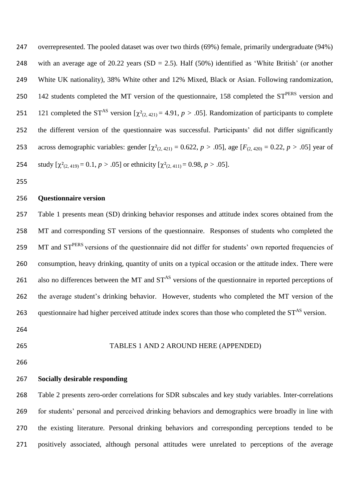overrepresented. The pooled dataset was over two thirds (69%) female, primarily undergraduate (94%) 248 with an average age of 20.22 years  $(SD = 2.5)$ . Half  $(50\%)$  identified as 'White British' (or another White UK nationality), 38% White other and 12% Mixed, Black or Asian. Following randomization, 250 142 students completed the MT version of the questionnaire, 158 completed the ST<sup>PERS</sup> version and 251 121 completed the ST<sup>AS</sup> version  $[\chi^2_{(2, 421)} = 4.91, p > .05]$ . Randomization of participants to complete the different version of the questionnaire was successful. Participants' did not differ significantly 253 across demographic variables: gender  $[\chi^2_{(2, 421)} = 0.622, p > .05]$ , age  $[F_{(2, 420)} = 0.22, p > .05]$  year of 254 study  $[\chi^2_{(2, 419)} = 0.1, p > .05]$  or ethnicity  $[\chi^2_{(2, 411)} = 0.98, p > .05]$ .

## **Questionnaire version**

 Table 1 presents mean (SD) drinking behavior responses and attitude index scores obtained from the MT and corresponding ST versions of the questionnaire. Responses of students who completed the 259 MT and ST<sup>PERS</sup> versions of the questionnaire did not differ for students' own reported frequencies of consumption, heavy drinking, quantity of units on a typical occasion or the attitude index. There were 261 also no differences between the MT and  $ST^{AS}$  versions of the questionnaire in reported perceptions of the average student's drinking behavior. However, students who completed the MT version of the 263 questionnaire had higher perceived attitude index scores than those who completed the  $ST<sup>AS</sup>$  version.

- 
- 

#### TABLES 1 AND 2 AROUND HERE (APPENDED)

## **Socially desirable responding**

 Table 2 presents zero-order correlations for SDR subscales and key study variables. Inter-correlations for students' personal and perceived drinking behaviors and demographics were broadly in line with the existing literature. Personal drinking behaviors and corresponding perceptions tended to be positively associated, although personal attitudes were unrelated to perceptions of the average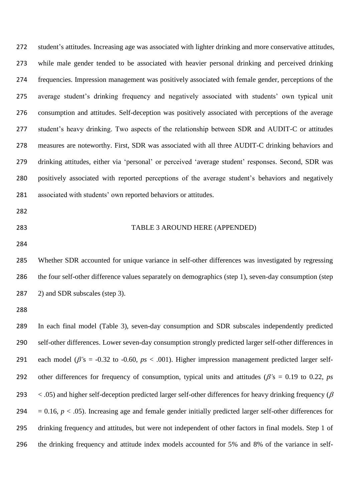student's attitudes. Increasing age was associated with lighter drinking and more conservative attitudes, while male gender tended to be associated with heavier personal drinking and perceived drinking frequencies. Impression management was positively associated with female gender, perceptions of the average student's drinking frequency and negatively associated with students' own typical unit consumption and attitudes. Self-deception was positively associated with perceptions of the average student's heavy drinking. Two aspects of the relationship between SDR and AUDIT-C or attitudes measures are noteworthy. First, SDR was associated with all three AUDIT-C drinking behaviors and drinking attitudes, either via 'personal' or perceived 'average student' responses. Second, SDR was positively associated with reported perceptions of the average student's behaviors and negatively associated with students' own reported behaviors or attitudes.

- 
- 

#### TABLE 3 AROUND HERE (APPENDED)

 Whether SDR accounted for unique variance in self-other differences was investigated by regressing the four self-other difference values separately on demographics (step 1), seven-day consumption (step 2) and SDR subscales (step 3).

 In each final model (Table 3), seven-day consumption and SDR subscales independently predicted self-other differences. Lower seven-day consumption strongly predicted larger self-other differences in 291 each model ( $\beta$ 's = -0.32 to -0.60,  $ps < .001$ ). Higher impression management predicted larger self-292 other differences for frequency of consumption, typical units and attitudes ( $\beta$ 's = 0.19 to 0.22, *ps*  $\lt$  .05) and higher self-deception predicted larger self-other differences for heavy drinking frequency ( $\beta$  $= 0.16$ ,  $p < .05$ ). Increasing age and female gender initially predicted larger self-other differences for drinking frequency and attitudes, but were not independent of other factors in final models. Step 1 of the drinking frequency and attitude index models accounted for 5% and 8% of the variance in self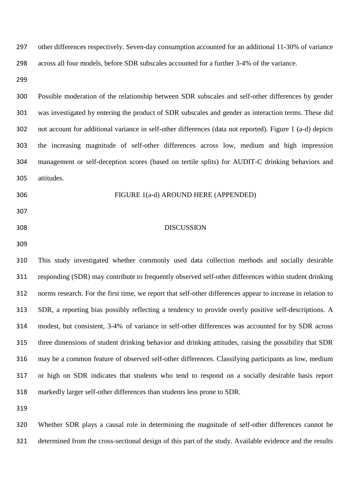other differences respectively. Seven-day consumption accounted for an additional 11-30% of variance across all four models, before SDR subscales accounted for a further 3-4% of the variance.

 Possible moderation of the relationship between SDR subscales and self-other differences by gender was investigated by entering the product of SDR subscales and gender as interaction terms. These did not account for additional variance in self-other differences (data not reported). Figure 1 (a-d) depicts the increasing magnitude of self-other differences across low, medium and high impression management or self-deception scores (based on tertile splits) for AUDIT-C drinking behaviors and attitudes.

- 
- FIGURE 1(a-d) AROUND HERE (APPENDED)
- 
- DISCUSSION
- 

 This study investigated whether commonly used data collection methods and socially desirable responding (SDR) may contribute to frequently observed self-other differences within student drinking norms research. For the first time, we report that self-other differences appear to increase in relation to SDR, a reporting bias possibly reflecting a tendency to provide overly positive self-descriptions. A modest, but consistent, 3-4% of variance in self-other differences was accounted for by SDR across three dimensions of student drinking behavior and drinking attitudes, raising the possibility that SDR may be a common feature of observed self-other differences. Classifying participants as low, medium or high on SDR indicates that students who tend to respond on a socially desirable basis report markedly larger self-other differences than students less prone to SDR.

 Whether SDR plays a causal role in determining the magnitude of self-other differences cannot be determined from the cross-sectional design of this part of the study. Available evidence and the results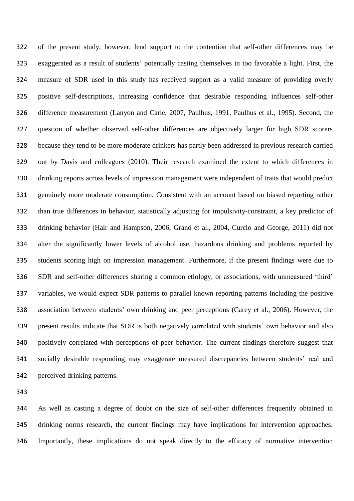of the present study, however, lend support to the contention that self-other differences may be exaggerated as a result of students' potentially casting themselves in too favorable a light. First, the measure of SDR used in this study has received support as a valid measure of providing overly positive self-descriptions, increasing confidence that desirable responding influences self-other difference measurement (Lanyon and Carle, 2007, Paulhus, 1991, Paulhus et al., 1995). Second, the question of whether observed self-other differences are objectively larger for high SDR scorers because they tend to be more moderate drinkers has partly been addressed in previous research carried out by Davis and colleagues (2010). Their research examined the extent to which differences in drinking reports across levels of impression management were independent of traits that would predict genuinely more moderate consumption. Consistent with an account based on biased reporting rather than true differences in behavior, statistically adjusting for impulsivity-constraint, a key predictor of drinking behavior (Hair and Hampson, 2006, Granö et al., 2004, Curcio and George, 2011) did not alter the significantly lower levels of alcohol use, hazardous drinking and problems reported by students scoring high on impression management. Furthermore, if the present findings were due to SDR and self-other differences sharing a common etiology, or associations, with unmeasured 'third' variables, we would expect SDR patterns to parallel known reporting patterns including the positive association between students' own drinking and peer perceptions (Carey et al., 2006). However, the present results indicate that SDR is both negatively correlated with students' own behavior and also positively correlated with perceptions of peer behavior. The current findings therefore suggest that socially desirable responding may exaggerate measured discrepancies between students' real and perceived drinking patterns.

 As well as casting a degree of doubt on the size of self-other differences frequently obtained in drinking norms research, the current findings may have implications for intervention approaches. Importantly, these implications do not speak directly to the efficacy of normative intervention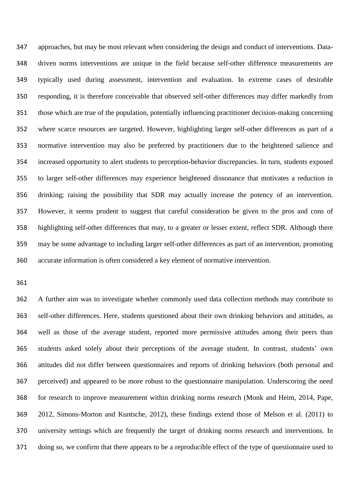approaches, but may be most relevant when considering the design and conduct of interventions. Data- driven norms interventions are unique in the field because self-other difference measurements are typically used during assessment, intervention and evaluation. In extreme cases of desirable responding, it is therefore conceivable that observed self-other differences may differ markedly from those which are true of the population, potentially influencing practitioner decision-making concerning where scarce resources are targeted. However, highlighting larger self-other differences as part of a normative intervention may also be preferred by practitioners due to the heightened salience and increased opportunity to alert students to perception-behavior discrepancies. In turn, students exposed to larger self-other differences may experience heightened dissonance that motivates a reduction in drinking; raising the possibility that SDR may actually increase the potency of an intervention. However, it seems prudent to suggest that careful consideration be given to the pros and cons of highlighting self-other differences that may, to a greater or lesser extent, reflect SDR. Although there may be some advantage to including larger self-other differences as part of an intervention, promoting accurate information is often considered a key element of normative intervention.

 A further aim was to investigate whether commonly used data collection methods may contribute to self-other differences. Here, students questioned about their own drinking behaviors and attitudes, as well as those of the average student, reported more permissive attitudes among their peers than students asked solely about their perceptions of the average student. In contrast, students' own attitudes did not differ between questionnaires and reports of drinking behaviors (both personal and perceived) and appeared to be more robust to the questionnaire manipulation. Underscoring the need for research to improve measurement within drinking norms research (Monk and Heim, 2014, Pape, 2012, Simons-Morton and Kuntsche, 2012), these findings extend those of Melson et al. (2011) to university settings which are frequently the target of drinking norms research and interventions. In doing so, we confirm that there appears to be a reproducible effect of the type of questionnaire used to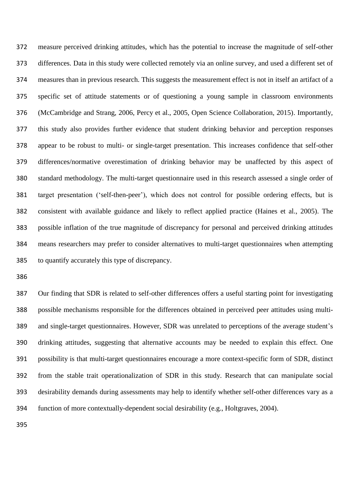measure perceived drinking attitudes, which has the potential to increase the magnitude of self-other differences. Data in this study were collected remotely via an online survey, and used a different set of measures than in previous research. This suggests the measurement effect is not in itself an artifact of a specific set of attitude statements or of questioning a young sample in classroom environments (McCambridge and Strang, 2006, Percy et al., 2005, Open Science Collaboration, 2015). Importantly, this study also provides further evidence that student drinking behavior and perception responses appear to be robust to multi- or single-target presentation. This increases confidence that self-other differences/normative overestimation of drinking behavior may be unaffected by this aspect of standard methodology. The multi-target questionnaire used in this research assessed a single order of target presentation ('self-then-peer'), which does not control for possible ordering effects, but is consistent with available guidance and likely to reflect applied practice (Haines et al., 2005). The possible inflation of the true magnitude of discrepancy for personal and perceived drinking attitudes means researchers may prefer to consider alternatives to multi-target questionnaires when attempting to quantify accurately this type of discrepancy.

 Our finding that SDR is related to self-other differences offers a useful starting point for investigating possible mechanisms responsible for the differences obtained in perceived peer attitudes using multi- and single-target questionnaires. However, SDR was unrelated to perceptions of the average student's drinking attitudes, suggesting that alternative accounts may be needed to explain this effect. One possibility is that multi-target questionnaires encourage a more context-specific form of SDR, distinct from the stable trait operationalization of SDR in this study. Research that can manipulate social desirability demands during assessments may help to identify whether self-other differences vary as a function of more contextually-dependent social desirability (e.g., Holtgraves, 2004).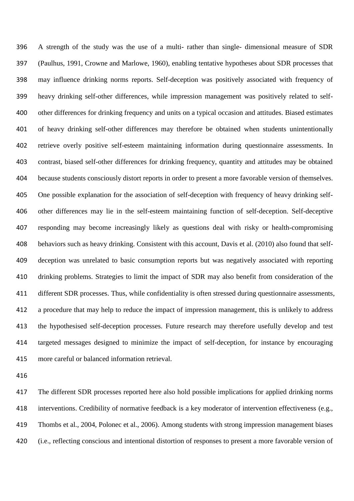A strength of the study was the use of a multi- rather than single- dimensional measure of SDR (Paulhus, 1991, Crowne and Marlowe, 1960), enabling tentative hypotheses about SDR processes that may influence drinking norms reports. Self-deception was positively associated with frequency of heavy drinking self-other differences, while impression management was positively related to self- other differences for drinking frequency and units on a typical occasion and attitudes. Biased estimates of heavy drinking self-other differences may therefore be obtained when students unintentionally retrieve overly positive self-esteem maintaining information during questionnaire assessments. In contrast, biased self-other differences for drinking frequency, quantity and attitudes may be obtained because students consciously distort reports in order to present a more favorable version of themselves. One possible explanation for the association of self-deception with frequency of heavy drinking self- other differences may lie in the self-esteem maintaining function of self-deception. Self-deceptive responding may become increasingly likely as questions deal with risky or health-compromising behaviors such as heavy drinking. Consistent with this account, Davis et al. (2010) also found that self- deception was unrelated to basic consumption reports but was negatively associated with reporting drinking problems. Strategies to limit the impact of SDR may also benefit from consideration of the different SDR processes. Thus, while confidentiality is often stressed during questionnaire assessments, a procedure that may help to reduce the impact of impression management, this is unlikely to address the hypothesised self-deception processes. Future research may therefore usefully develop and test targeted messages designed to minimize the impact of self-deception, for instance by encouraging more careful or balanced information retrieval.

 The different SDR processes reported here also hold possible implications for applied drinking norms interventions. Credibility of normative feedback is a key moderator of intervention effectiveness (e.g., Thombs et al., 2004, Polonec et al., 2006). Among students with strong impression management biases (i.e., reflecting conscious and intentional distortion of responses to present a more favorable version of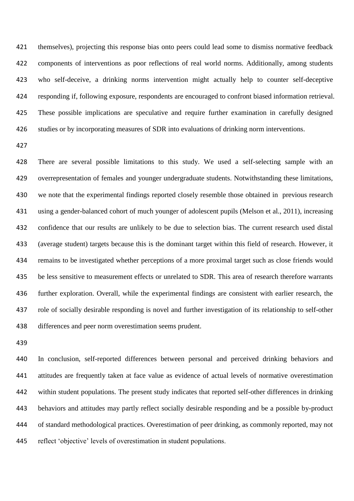themselves), projecting this response bias onto peers could lead some to dismiss normative feedback components of interventions as poor reflections of real world norms. Additionally, among students who self-deceive, a drinking norms intervention might actually help to counter self-deceptive responding if, following exposure, respondents are encouraged to confront biased information retrieval. These possible implications are speculative and require further examination in carefully designed studies or by incorporating measures of SDR into evaluations of drinking norm interventions.

 There are several possible limitations to this study. We used a self-selecting sample with an overrepresentation of females and younger undergraduate students. Notwithstanding these limitations, we note that the experimental findings reported closely resemble those obtained in previous research using a gender-balanced cohort of much younger of adolescent pupils (Melson et al., 2011), increasing confidence that our results are unlikely to be due to selection bias. The current research used distal (average student) targets because this is the dominant target within this field of research. However, it remains to be investigated whether perceptions of a more proximal target such as close friends would be less sensitive to measurement effects or unrelated to SDR. This area of research therefore warrants further exploration. Overall, while the experimental findings are consistent with earlier research, the role of socially desirable responding is novel and further investigation of its relationship to self-other differences and peer norm overestimation seems prudent.

 In conclusion, self-reported differences between personal and perceived drinking behaviors and attitudes are frequently taken at face value as evidence of actual levels of normative overestimation within student populations. The present study indicates that reported self-other differences in drinking behaviors and attitudes may partly reflect socially desirable responding and be a possible by-product of standard methodological practices. Overestimation of peer drinking, as commonly reported, may not reflect 'objective' levels of overestimation in student populations.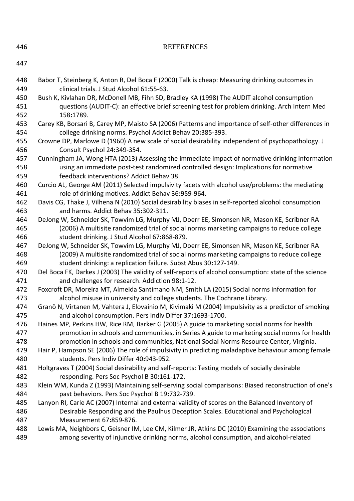| 446        | <b>REFERENCES</b>                                                                                                                                      |
|------------|--------------------------------------------------------------------------------------------------------------------------------------------------------|
| 447        |                                                                                                                                                        |
| 448        | Babor T, Steinberg K, Anton R, Del Boca F (2000) Talk is cheap: Measuring drinking outcomes in                                                         |
| 449        | clinical trials. J Stud Alcohol 61:55-63.                                                                                                              |
| 450        | Bush K, Kivlahan DR, McDonell MB, Fihn SD, Bradley KA (1998) The AUDIT alcohol consumption                                                             |
| 451        | questions (AUDIT-C): an effective brief screening test for problem drinking. Arch Intern Med                                                           |
| 452        | 158:1789.                                                                                                                                              |
| 453        | Carey KB, Borsari B, Carey MP, Maisto SA (2006) Patterns and importance of self-other differences in                                                   |
| 454        | college drinking norms. Psychol Addict Behav 20:385-393.                                                                                               |
| 455        | Crowne DP, Marlowe D (1960) A new scale of social desirability independent of psychopathology. J                                                       |
| 456        | Consult Psychol 24:349-354.                                                                                                                            |
| 457        | Cunningham JA, Wong HTA (2013) Assessing the immediate impact of normative drinking information                                                        |
| 458<br>459 | using an immediate post-test randomized controlled design: Implications for normative<br>feedback interventions? Addict Behav 38.                      |
| 460<br>461 | Curcio AL, George AM (2011) Selected impulsivity facets with alcohol use/problems: the mediating<br>role of drinking motives. Addict Behav 36:959-964. |
| 462        | Davis CG, Thake J, Vilhena N (2010) Social desirability biases in self-reported alcohol consumption                                                    |
| 463        | and harms. Addict Behav 35:302-311.                                                                                                                    |
| 464        | DeJong W, Schneider SK, Towvim LG, Murphy MJ, Doerr EE, Simonsen NR, Mason KE, Scribner RA                                                             |
| 465        | (2006) A multisite randomized trial of social norms marketing campaigns to reduce college                                                              |
| 466        | student drinking. J Stud Alcohol 67:868-879.                                                                                                           |
| 467        | DeJong W, Schneider SK, Towvim LG, Murphy MJ, Doerr EE, Simonsen NR, Mason KE, Scribner RA                                                             |
| 468        | (2009) A multisite randomized trial of social norms marketing campaigns to reduce college                                                              |
| 469        | student drinking: a replication failure. Subst Abus 30:127-149.                                                                                        |
| 470        | Del Boca FK, Darkes J (2003) The validity of self-reports of alcohol consumption: state of the science                                                 |
| 471        | and challenges for research. Addiction 98:1-12.                                                                                                        |
| 472        | Foxcroft DR, Moreira MT, Almeida Santimano NM, Smith LA (2015) Social norms information for                                                            |
| 473        | alcohol misuse in university and college students. The Cochrane Library.                                                                               |
| 474        | Granö N, Virtanen M, Vahtera J, Elovainio M, Kivimaki M (2004) Impulsivity as a predictor of smoking                                                   |
| 475        | and alcohol consumption. Pers Indiv Differ 37:1693-1700.                                                                                               |
| 476        | Haines MP, Perkins HW, Rice RM, Barker G (2005) A guide to marketing social norms for health                                                           |
| 477        | promotion in schools and communities, in Series A guide to marketing social norms for health                                                           |
| 478        | promotion in schools and communities, National Social Norms Resource Center, Virginia.                                                                 |
| 479        | Hair P, Hampson SE (2006) The role of impulsivity in predicting maladaptive behaviour among female                                                     |
| 480        | students. Pers Indiv Differ 40:943-952.                                                                                                                |
| 481        | Holtgraves T (2004) Social desirability and self-reports: Testing models of socially desirable                                                         |
| 482        | responding. Pers Soc Psychol B 30:161-172.                                                                                                             |
| 483        | Klein WM, Kunda Z (1993) Maintaining self-serving social comparisons: Biased reconstruction of one's                                                   |
| 484        | past behaviors. Pers Soc Psychol B 19:732-739.                                                                                                         |
| 485        | Lanyon RI, Carle AC (2007) Internal and external validity of scores on the Balanced Inventory of                                                       |
| 486        | Desirable Responding and the Paulhus Deception Scales. Educational and Psychological                                                                   |
| 487        | Measurement 67:859-876.                                                                                                                                |
| 488        | Lewis MA, Neighbors C, Geisner IM, Lee CM, Kilmer JR, Atkins DC (2010) Examining the associations                                                      |
| 489        | among severity of injunctive drinking norms, alcohol consumption, and alcohol-related                                                                  |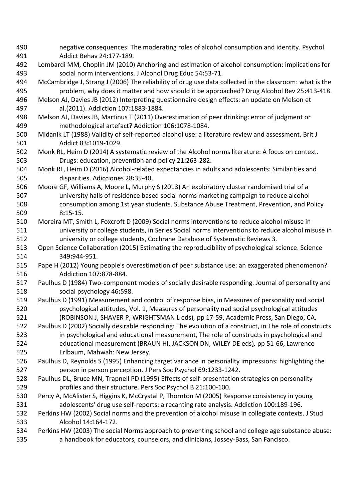- negative consequences: The moderating roles of alcohol consumption and identity. Psychol Addict Behav 24**:**177-189.
- Lombardi MM, Choplin JM (2010) Anchoring and estimation of alcohol consumption: implications for social norm interventions. J Alcohol Drug Educ 54**:**53-71.
- McCambridge J, Strang J (2006) The reliability of drug use data collected in the classroom: what is the problem, why does it matter and how should it be approached? Drug Alcohol Rev 25**:**413-418.
- Melson AJ, Davies JB (2012) Interpreting questionnaire design effects: an update on Melson et al.(2011). Addiction 107**:**1883-1884.
- Melson AJ, Davies JB, Martinus T (2011) Overestimation of peer drinking: error of judgment or methodological artefact? Addiction 106**:**1078-1084.
- Midanik LT (1988) Validity of self-reported alcohol use: a literature review and assessment. Brit J Addict 83**:**1019-1029.
- Monk RL, Heim D (2014) A systematic review of the Alcohol norms literature: A focus on context. Drugs: education, prevention and policy 21**:**263-282.
- Monk RL, Heim D (2016) Alcohol-related expectancies in adults and adolescents: Similarities and disparities. Adicciones 28**:**35-40.
- Moore GF, Williams A, Moore L, Murphy S (2013) An exploratory cluster randomised trial of a university halls of residence based social norms marketing campaign to reduce alcohol consumption among 1st year students. Substance Abuse Treatment, Prevention, and Policy 8**:**15-15.
- Moreira MT, Smith L, Foxcroft D (2009) Social norms interventions to reduce alcohol misuse in university or college students, in Series Social norms interventions to reduce alcohol misuse in university or college students, Cochrane Database of Systematic Reviews 3.
- Open Science Collaboration (2015) Estimating the reproducibility of psychological science. Science 349**:**944-951.
- Pape H (2012) Young people's overestimation of peer substance use: an exaggerated phenomenon? Addiction 107**:**878-884.
- Paulhus D (1984) Two-component models of socially desirable responding. Journal of personality and social psychology 46**:**598.
- Paulhus D (1991) Measurement and control of response bias, in Measures of personality nad social psychological attitudes, Vol. 1, Measures of personality nad social psychological attitudes (ROBINSON J, SHAVER P, WRIGHTSMAN L eds)*,* pp 17-59, Academic Press, San Diego, CA.
- Paulhus D (2002) Socially desirable responding: The evolution of a construct, in The role of constructs in psychological and educational measurement, The role of constructs in psychological and educational measurement (BRAUN HI, JACKSON DN, WILEY DE eds)*,* pp 51-66, Lawrence Erlbaum, Mahwah: New Jersey.
- Paulhus D, Reynolds S (1995) Enhancing target variance in personality impressions: highlighting the person in person perception. J Pers Soc Psychol 69**:**1233-1242.
- Paulhus DL, Bruce MN, Trapnell PD (1995) Effects of self-presentation strategies on personality profiles and their structure. Pers Soc Psychol B 21**:**100-100.
- Percy A, McAlister S, Higgins K, McCrystal P, Thornton M (2005) Response consistency in young adolescents' drug use self-reports: a recanting rate analysis. Addiction 100**:**189-196.
- Perkins HW (2002) Social norms and the prevention of alcohol misuse in collegiate contexts. J Stud Alcohol 14**:**164-172.
- Perkins HW (2003) The social Norms approach to preventing school and college age substance abuse: a handbook for educators, counselors, and clinicians, Jossey-Bass, San Fancisco.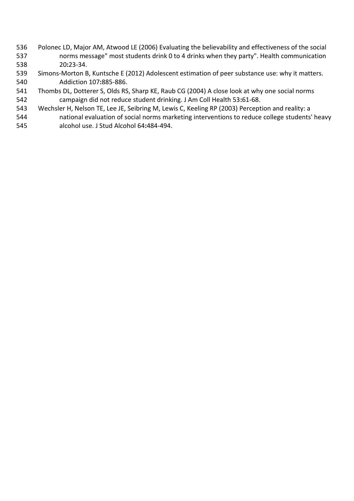- Polonec LD, Major AM, Atwood LE (2006) Evaluating the believability and effectiveness of the social norms message" most students drink 0 to 4 drinks when they party". Health communication 20**:**23-34.
- Simons-Morton B, Kuntsche E (2012) Adolescent estimation of peer substance use: why it matters. Addiction 107**:**885-886.
- Thombs DL, Dotterer S, Olds RS, Sharp KE, Raub CG (2004) A close look at why one social norms campaign did not reduce student drinking. J Am Coll Health 53**:**61-68.
- Wechsler H, Nelson TE, Lee JE, Seibring M, Lewis C, Keeling RP (2003) Perception and reality: a
- national evaluation of social norms marketing interventions to reduce college students' heavy alcohol use. J Stud Alcohol 64**:**484-494.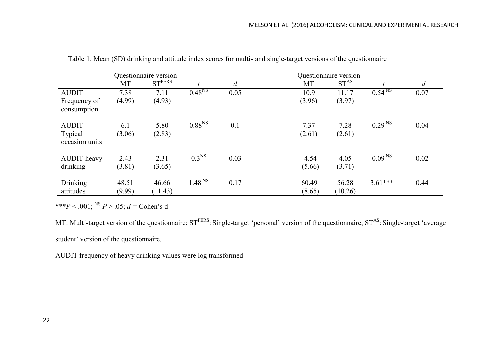|                                           |                 | Questionnaire version |                    | Questionnaire version |                 |                  |                               |      |
|-------------------------------------------|-----------------|-----------------------|--------------------|-----------------------|-----------------|------------------|-------------------------------|------|
|                                           | MT              | $ST$ <sup>PERS</sup>  |                    | $\overline{d}$        | MT              | ST <sup>AS</sup> |                               |      |
| <b>AUDIT</b>                              | 7.38            | 7.11                  | $0.48^{NS}$        | 0.05                  | 10.9            | 11.17            | $0.54^{\overline{\text{NS}}}$ | 0.07 |
| Frequency of<br>consumption               | (4.99)          | (4.93)                |                    |                       | (3.96)          | (3.97)           |                               |      |
| <b>AUDIT</b><br>Typical<br>occasion units | 6.1<br>(3.06)   | 5.80<br>(2.83)        | $0.88^{NS}$        | 0.1                   | 7.37<br>(2.61)  | 7.28<br>(2.61)   | 0.29 <sup>NS</sup>            | 0.04 |
| <b>AUDIT</b> heavy<br>drinking            | 2.43<br>(3.81)  | 2.31<br>(3.65)        | 0.3 <sup>NS</sup>  | 0.03                  | 4.54<br>(5.66)  | 4.05<br>(3.71)   | 0.09 <sup>NS</sup>            | 0.02 |
| <b>Drinking</b><br>attitudes              | 48.51<br>(9.99) | 46.66<br>(11.43)      | 1.48 <sup>NS</sup> | 0.17                  | 60.49<br>(8.65) | 56.28<br>(10.26) | $3.61***$                     | 0.44 |

Table 1. Mean (SD) drinking and attitude index scores for multi- and single-target versions of the questionnaire

\*\*\**P* < .001; NS *P* > .05; *d =* Cohen's d

MT: Multi-target version of the questionnaire; ST<sup>PERS</sup>: Single-target 'personal' version of the questionnaire; ST<sup>AS</sup>: Single-target 'average student' version of the questionnaire.

AUDIT frequency of heavy drinking values were log transformed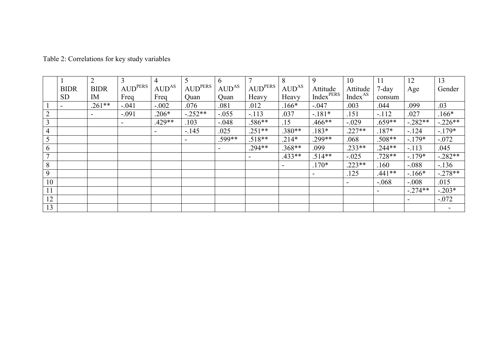|                |                          | 2              | 3                                                        | $\overline{4}$ | 5                                                        | 6          | $\mathbf{r}$                                  | 8                        | 9                     | 10                  | 11       | 12         | 13        |
|----------------|--------------------------|----------------|----------------------------------------------------------|----------------|----------------------------------------------------------|------------|-----------------------------------------------|--------------------------|-----------------------|---------------------|----------|------------|-----------|
|                | <b>BIDR</b>              | <b>BIDR</b>    | $\mathsf{I}$ $\mathsf{AUD}^{\mathsf{PERS} \ \mathsf{I}}$ | $AUD^{AS}$     | $\mathsf{I}$ $\mathsf{AUD}^{\mathsf{PERS} \ \mathsf{I}}$ | $AUD^{AS}$ | $\mathbf{T}$ AUD $\mathbf{PERS}$ $\mathbf{T}$ | $AUD^{AS}$               | Attitude              | Attitude            | $7$ -day | Age        | Gender    |
|                | <b>SD</b>                | IM             | Freq                                                     | Freq           | Quan                                                     | Quan       | Heavy                                         | Heavy                    | Index <sup>PERS</sup> | Index <sup>AS</sup> | consum   |            |           |
|                | $\overline{\phantom{0}}$ | $.261**$       | $-.041$                                                  | $-.002$        | .076                                                     | .081       | .012                                          | $.166*$                  | $-.047$               | .003                | .044     | .099       | .03       |
| $\overline{2}$ |                          | $\blacksquare$ | $-.091$                                                  | $.206*$        | $-.252**$                                                | $-0.055$   | $-113$                                        | .037                     | $-.181*$              | .151                | $-.112$  | .027       | 166*      |
| 3              |                          |                |                                                          | $.429**$       | .103                                                     | $-.048$    | .586**                                        | .15                      | .466**                | $-.029$             | $.659**$ | $-0.282**$ | $-.226**$ |
| $\overline{4}$ |                          |                |                                                          |                | $-145$                                                   | .025       | $.251**$                                      | .380**                   | $.183*$               | $.227**$            | $.187*$  | $-124$     | $-179*$   |
| 5              |                          |                |                                                          |                |                                                          | .599**     | $.518**$                                      | $.214*$                  | $.299**$              | .068                | .508**   | $-179*$    | $-0.072$  |
| 6              |                          |                |                                                          |                |                                                          |            | $.294**$                                      | $.368**$                 | .099                  | $.233**$            | $.244**$ | $-113$     | .045      |
| $\overline{7}$ |                          |                |                                                          |                |                                                          |            | $\overline{\phantom{a}}$                      | $.433**$                 | $.514**$              | $-.025$             | .728**   | $-179*$    | $-282**$  |
| 8              |                          |                |                                                          |                |                                                          |            |                                               | $\overline{\phantom{a}}$ | $.170*$               | $.223**$            | .160     | $-.088$    | $-136$    |
| 9              |                          |                |                                                          |                |                                                          |            |                                               |                          |                       | .125                | $.441**$ | $-166*$    | $-.278**$ |
| 10             |                          |                |                                                          |                |                                                          |            |                                               |                          |                       | ۰.                  | $-.068$  | $-.008$    | .015      |
| 11             |                          |                |                                                          |                |                                                          |            |                                               |                          |                       |                     |          | $-.274**$  | $-.203*$  |
| 12             |                          |                |                                                          |                |                                                          |            |                                               |                          |                       |                     |          |            | $-.072$   |
| 13             |                          |                |                                                          |                |                                                          |            |                                               |                          |                       |                     |          |            |           |

Table 2: Correlations for key study variables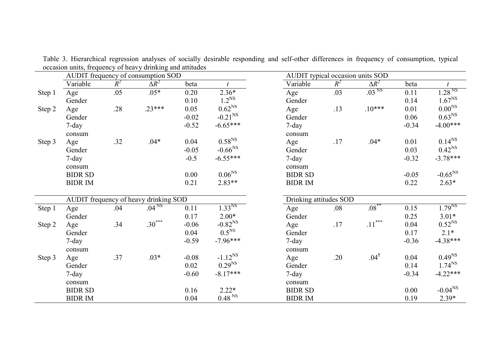|        | AUDIT frequency of consumption SOD    |       |                   |         |                    |  | AUDIT typical occasion units SOD |       |                     |         |                    |  |
|--------|---------------------------------------|-------|-------------------|---------|--------------------|--|----------------------------------|-------|---------------------|---------|--------------------|--|
|        | Variable                              | $R^2$ | $\Delta R^2$      | beta    |                    |  | Variable                         | $R^2$ | $\Delta R^2$        | beta    | $\boldsymbol{t}$   |  |
| Step 1 | Age                                   | .05   | $.05*$            | 0.20    | $2.36*$            |  | Age                              | .03   | .03 <sup>NS</sup>   | 0.11    | 1.28 <sup>NS</sup> |  |
|        | Gender                                |       |                   | 0.10    | 1.2 <sup>NS</sup>  |  | Gender                           |       |                     | 0.14    | $1.67^{NS}$        |  |
| Step 2 | Age                                   | .28   | $.23***$          | 0.05    | 0.62 <sup>NS</sup> |  | Age                              | .13   | $.10***$            | 0.01    | 0.00 <sup>NS</sup> |  |
|        | Gender                                |       |                   | $-0.02$ | $-0.21^{NS}$       |  | Gender                           |       |                     | 0.06    | 0.63 <sup>NS</sup> |  |
|        | 7-day                                 |       |                   | $-0.52$ | $-6.65***$         |  | $7$ -day                         |       |                     | $-0.34$ | $-4.00***$         |  |
|        | consum                                |       |                   |         |                    |  | consum                           |       |                     |         |                    |  |
| Step 3 | Age                                   | .32   | $.04*$            | 0.04    | 0.58 <sup>NS</sup> |  | Age                              | .17   | $.04*$              | 0.01    | $0.14^{NS}$        |  |
|        | Gender                                |       |                   | $-0.05$ | $-0.66^{NS}$       |  | Gender                           |       |                     | 0.03    | 0.42 <sup>NS</sup> |  |
|        | $7$ -day                              |       |                   | $-0.5$  | $-6.55***$         |  | $7$ -day                         |       |                     | $-0.32$ | $-3.78***$         |  |
|        | consum                                |       |                   |         |                    |  | consum                           |       |                     |         |                    |  |
|        | <b>BIDR SD</b>                        |       |                   | 0.00    | 0.06 <sup>NS</sup> |  | <b>BIDR SD</b>                   |       |                     | $-0.05$ | $-0.65^{NS}$       |  |
|        | <b>BIDRIM</b>                         |       |                   | 0.21    | $2.83**$           |  | <b>BIDR IM</b>                   |       |                     | 0.22    | $2.63*$            |  |
|        |                                       |       |                   |         |                    |  |                                  |       |                     |         |                    |  |
|        | AUDIT frequency of heavy drinking SOD |       |                   |         |                    |  | Drinking attitudes SOD           |       |                     |         |                    |  |
| Step 1 | Age                                   | .04   | .04 <sup>NS</sup> | 0.11    | $1.33^{NS}$        |  | Age                              | .08   | $.08$ <sup>**</sup> | 0.15    | $1.79^{NS}$        |  |
|        | Gender                                |       |                   | 0.17    | $2.00*$            |  | Gender                           |       |                     | 0.25    | $3.01*$            |  |
| Step 2 | Age                                   | .34   | $.30***$          | $-0.06$ | $-0.82^{NS}$       |  | Age                              | .17   | $.11***$            | 0.04    | $0.52^{NS}$        |  |
|        | Gender                                |       |                   | 0.04    | 0.5 <sup>NS</sup>  |  | Gender                           |       |                     | 0.17    | $2.1*$             |  |
|        | $7$ -day                              |       |                   | $-0.59$ | $-7.96***$         |  | 7-day                            |       |                     | $-0.36$ | $-4.38***$         |  |
|        | consum                                |       |                   |         |                    |  | consum                           |       |                     |         |                    |  |
| Step 3 | Age                                   | .37   | $.03*$            | $-0.08$ | $-1.12^{NS}$       |  | Age                              | .20   | .04 <sup>†</sup>    | 0.04    | $0.49^{NS}$        |  |
|        | Gender                                |       |                   | 0.02    | $0.29^{NS}$        |  | Gender                           |       |                     | 0.14    | $1.74^{NS}$        |  |
|        | $7$ -day                              |       |                   | $-0.60$ | $-8.17***$         |  | $7$ -day                         |       |                     | $-0.34$ | $-4.22***$         |  |
|        | consum                                |       |                   |         |                    |  | consum                           |       |                     |         |                    |  |
|        | <b>BIDR SD</b>                        |       |                   | 0.16    | $2.22*$            |  | <b>BIDR SD</b>                   |       |                     | 0.00    | $-0.04^{NS}$       |  |
|        | <b>BIDR IM</b>                        |       |                   | 0.04    | 0.48 <sup>NS</sup> |  | <b>BIDR IM</b>                   |       |                     | 0.19    | $2.39*$            |  |

Table 3. Hierarchical regression analyses of socially desirable responding and self-other differences in frequency of consumption, typical occasion units, frequency of heavy drinking and attitudes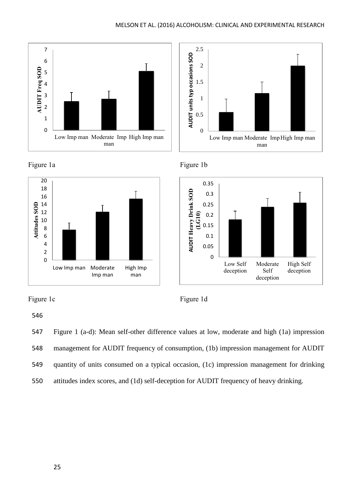















546

547 Figure 1 (a-d): Mean self-other difference values at low, moderate and high (1a) impression

- 548 management for AUDIT frequency of consumption, (1b) impression management for AUDIT
- 549 quantity of units consumed on a typical occasion, (1c) impression management for drinking
- 550 attitudes index scores, and (1d) self-deception for AUDIT frequency of heavy drinking.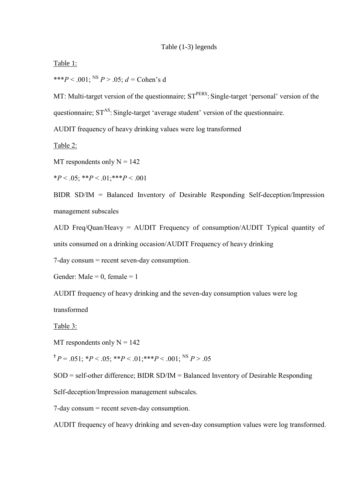## Table (1-3) legends

Table 1:

\*\*\**P* < .001; <sup>NS</sup> *P* > .05; *d* = Cohen's d

MT: Multi-target version of the questionnaire;  $ST<sup>PERS</sup>$ : Single-target 'personal' version of the questionnaire;  $ST^{AS}$ : Single-target 'average student' version of the questionnaire.

AUDIT frequency of heavy drinking values were log transformed

Table 2:

MT respondents only  $N = 142$ 

\**P* < .05; \*\**P* < .01;\*\*\**P* < .001

BIDR SD/IM = Balanced Inventory of Desirable Responding Self-deception/Impression management subscales

AUD Freq/Quan/Heavy = AUDIT Frequency of consumption/AUDIT Typical quantity of units consumed on a drinking occasion/AUDIT Frequency of heavy drinking

7-day consum = recent seven-day consumption.

Gender: Male =  $0$ , female =  $1$ 

AUDIT frequency of heavy drinking and the seven-day consumption values were log

transformed

Table 3:

MT respondents only  $N = 142$ 

 $P^{\dagger}P = .051$ ;  ${}^*P < .05$ ;  ${}^*{}^*P < .01$ ;  ${}^*{}^*P < .001$ ; <sup>NS</sup> *P* > .05

SOD = self-other difference; BIDR SD/IM = Balanced Inventory of Desirable Responding

Self-deception/Impression management subscales.

7-day consum = recent seven-day consumption.

AUDIT frequency of heavy drinking and seven-day consumption values were log transformed.